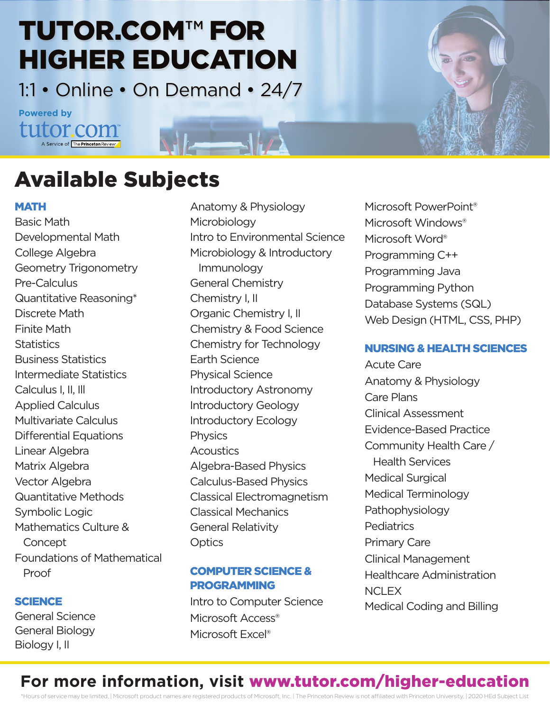## TUTOR.COM™ FOR HIGHER EDUCATION

1:1 • Online • On Demand • 24/7

 $\overline{\phantom{a}}$ 

#### **Powered by**tutor.com Service of The Princeton Re

## Available Subjects

#### **MATH**

Basic Math Developmental Math College Algebra Geometry Trigonometry Pre-Calculus Quantitative Reasoning\* Discrete Math Finite Math **Statistics** Business Statistics Intermediate Statistics Calculus I, II, Ill Applied Calculus Multivariate Calculus Differential Equations Linear Algebra Matrix Algebra Vector Algebra Quantitative Methods Symbolic Logic Mathematics Culture & **Concept** Foundations of Mathematical Proof

#### **SCIENCE**

General Science General Biology Biology I, II

Anatomy & Physiology **Microbiology** Intro to Environmental Science Microbiology & Introductory Immunology General Chemistry Chemistry I, II Organic Chemistry I, II Chemistry & Food Science Chemistry for Technology Earth Science Physical Science Introductory Astronomy Introductory Geology Introductory Ecology **Physics Acoustics** Algebra-Based Physics Calculus-Based Physics Classical Electromagnetism Classical Mechanics General Relativity **Optics** 

#### COMPUTER SCIENCE & **PROGRAMMING**

Intro to Computer Science Microsoft Access<sup>®</sup> Microsoft Excel®

Microsoft PowerPoint® Microsoft Windows® Microsoft Word® Programming C++ Programming Java Programming Python Database Systems (SQL) Web Design (HTML, CSS, PHP)

#### NURSING & HEALTH SCIENCES

Acute Care Anatomy & Physiology Care Plans Clinical Assessment Evidence-Based Practice Community Health Care / Health Services Medical Surgical Medical Terminology Pathophysiology **Pediatrics** Primary Care Clinical Management Healthcare Administration **NCLEX** Medical Coding and Billing

### **For more information, visit** www.tutor.com/higher-education

\*Hours of service may be limited. | Microsoft product names are registered products of Microsoft, Inc. | The Princeton Review is not affiliated with Princeton University. | 2020 HEd Subject List